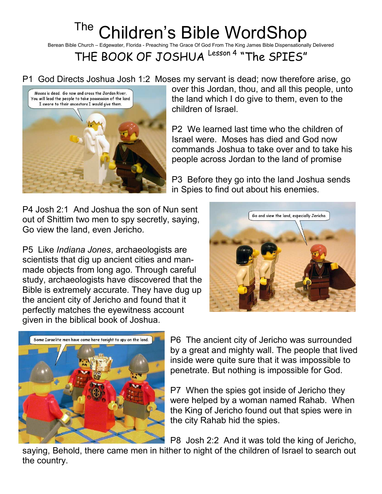## <sup>The</sup> Children's Bible WordShop

Berean Bible Church – Edgewater, Florida - Preaching The Grace Of God From The King James Bible Dispensationally Delivered

THE BOOK OF JOSHUA Lesson 4 "The SPIES"

P1 God Directs Joshua Josh 1:2 Moses my servant is dead; now therefore arise, go



over this Jordan, thou, and all this people, unto the land which I do give to them, even to the children of Israel.

P2 We learned last time who the children of Israel were. Moses has died and God now commands Joshua to take over and to take his people across Jordan to the land of promise

P3 Before they go into the land Joshua sends in Spies to find out about his enemies.

P4 Josh 2:1 And Joshua the son of Nun sent out of Shittim two men to spy secretly, saying, Go view the land, even Jericho.

P5 Like Indiana Jones, archaeologists are scientists that dig up ancient cities and manmade objects from long ago. Through careful study, archaeologists have discovered that the Bible is extremely accurate. They have dug up the ancient city of Jericho and found that it perfectly matches the eyewitness account given in the biblical book of Joshua.





P6 The ancient city of Jericho was surrounded by a great and mighty wall. The people that lived inside were quite sure that it was impossible to penetrate. But nothing is impossible for God.

P7 When the spies got inside of Jericho they were helped by a woman named Rahab. When the King of Jericho found out that spies were in the city Rahab hid the spies.

P8 Josh 2:2 And it was told the king of Jericho,

saying, Behold, there came men in hither to night of the children of Israel to search out the country.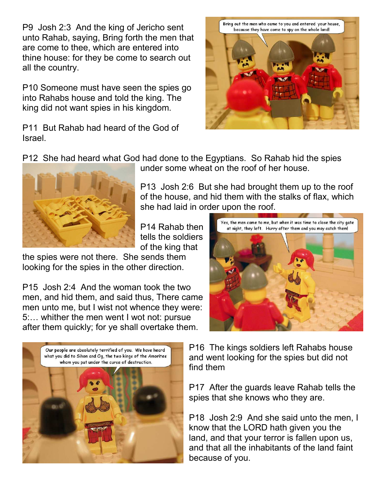P9 Josh 2:3 And the king of Jericho sent unto Rahab, saying, Bring forth the men that are come to thee, which are entered into thine house: for they be come to search out all the country.

P10 Someone must have seen the spies go into Rahabs house and told the king. The king did not want spies in his kingdom.

P11 But Rahab had heard of the God of Israel.



P12 She had heard what God had done to the Egyptians. So Rahab hid the spies



under some wheat on the roof of her house.

P13 Josh 2:6 But she had brought them up to the roof of the house, and hid them with the stalks of flax, which she had laid in order upon the roof.

P14 Rahab then tells the soldiers of the king that

the spies were not there. She sends them looking for the spies in the other direction.

P15 Josh 2:4 And the woman took the two men, and hid them, and said thus, There came men unto me, but I wist not whence they were: 5:… whither the men went I wot not: pursue after them quickly; for ye shall overtake them.





P16 The kings soldiers left Rahabs house and went looking for the spies but did not find them

P17 After the guards leave Rahab tells the spies that she knows who they are.

P18 Josh 2:9 And she said unto the men, I know that the LORD hath given you the land, and that your terror is fallen upon us, and that all the inhabitants of the land faint because of you.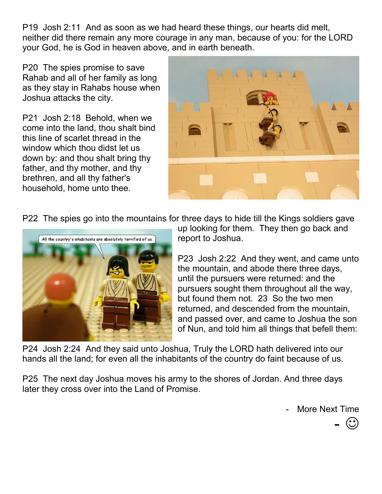P19 Josh 2:11 And as soon as we had heard these things, our hearts did melt, neither did there remain any more courage in any man, because of you: for the LORD your God, he is God in heaven above, and in earth beneath.

P20 The spies promise to save Rahab and all of her family as long as they stay in Rahabs house when Joshua attacks the city.

P21 Josh 2:18 Behold, when we come into the land, thou shalt bind this line of scarlet thread in the window which thou didst let us down by: and thou shalt bring thy father, and thy mother, and thy brethren, and all thy father's household, home unto thee.



P22 The spies go into the mountains for three days to hide till the Kings soldiers gave



up looking for them. They then go back and report to Joshua.

P23 Josh 2:22 And they went, and came unto the mountain, and abode there three days, until the pursuers were returned: and the pursuers sought them throughout all the way, but found them not. 23 So the two men returned, and descended from the mountain, and passed over, and came to Joshua the son of Nun, and told him all things that befell them:

P24 Josh 2:24 And they said unto Joshua, Truly the LORD hath delivered into our hands all the land; for even all the inhabitants of the country do faint because of us.

P25 The next day Joshua moves his army to the shores of Jordan. And three days later they cross over into the Land of Promise.

More Next Time

 $-$  ©